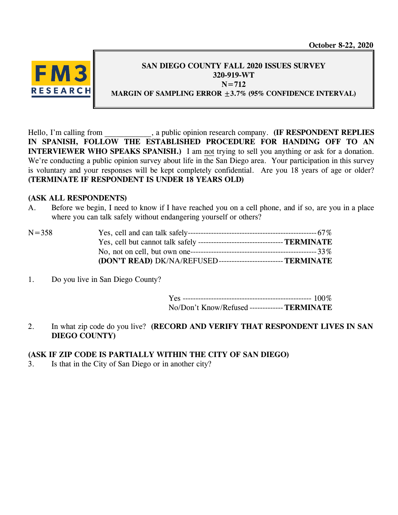**October 8-22, 2020**



### **SAN DIEGO COUNTY FALL 2020 ISSUES SURVEY 320-919-WT N=712 MARGIN OF SAMPLING ERROR ±3.7% (95% CONFIDENCE INTERVAL)**

Hello, I'm calling from  $\qquad \qquad$ , a public opinion research company. **(IF RESPONDENT REPLIES IN SPANISH, FOLLOW THE ESTABLISHED PROCEDURE FOR HANDING OFF TO AN INTERVIEWER WHO SPEAKS SPANISH.**) I am not trying to sell you anything or ask for a donation. We're conducting a public opinion survey about life in the San Diego area. Your participation in this survey is voluntary and your responses will be kept completely confidential. Are you 18 years of age or older? **(TERMINATE IF RESPONDENT IS UNDER 18 YEARS OLD)**

### **(ASK ALL RESPONDENTS)**

A. Before we begin, I need to know if I have reached you on a cell phone, and if so, are you in a place where you can talk safely without endangering yourself or others?

| $N = 358$ |                                                                |  |
|-----------|----------------------------------------------------------------|--|
|           |                                                                |  |
|           |                                                                |  |
|           | (DON'T READ) DK/NA/REFUSED-------------------------- TERMINATE |  |

1. Do you live in San Diego County?

Yes -------------------------------------------------- 100% No/Don't Know/Refused -------------**TERMINATE**

2. In what zip code do you live? **(RECORD AND VERIFY THAT RESPONDENT LIVES IN SAN DIEGO COUNTY)**

## **(ASK IF ZIP CODE IS PARTIALLY WITHIN THE CITY OF SAN DIEGO)**

3. Is that in the City of San Diego or in another city?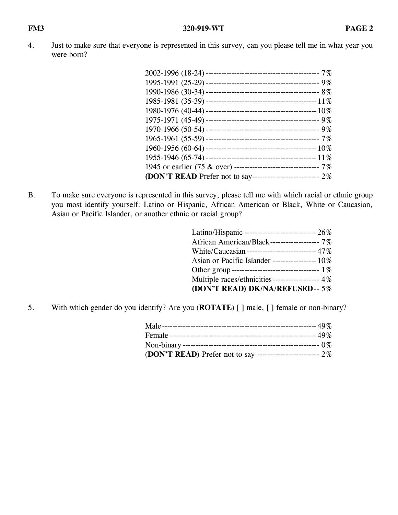4. Just to make sure that everyone is represented in this survey, can you please tell me in what year you were born?

| 1945 or earlier (75 & over) --------------------------------- 7%    |  |
|---------------------------------------------------------------------|--|
| <b>(DON'T READ</b> Prefer not to say---------------------------- 2% |  |

B. To make sure everyone is represented in this survey, please tell me with which racial or ethnic group you most identify yourself: Latino or Hispanic, African American or Black, White or Caucasian, Asian or Pacific Islander, or another ethnic or racial group?

| African American/Black------------------- 7%       |
|----------------------------------------------------|
| White/Caucasian ---------------------------- 47%   |
| Asian or Pacific Islander -------------------- 10% |
| Other group-------------------------------- 1%     |
| Multiple races/ethnicities ------------------ 4%   |
| (DON'T READ) DK/NA/REFUSED-- 5%                    |

5. With which gender do you identify? Are you (**ROTATE**) [ ] male, [ ] female or non-binary?

| (DON'T READ) Prefer not to say -------------------------- $2\%$ |  |
|-----------------------------------------------------------------|--|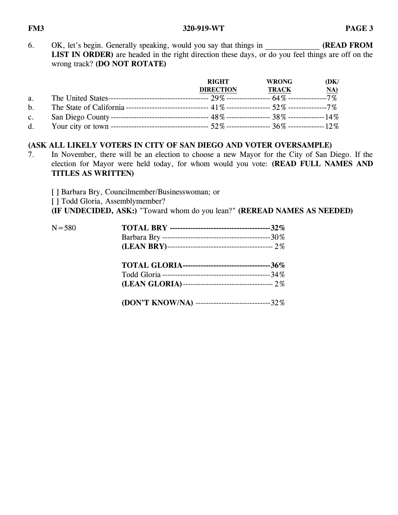6. OK, let's begin. Generally speaking, would you say that things in **(READ FROM** LIST IN ORDER) are headed in the right direction these days, or do you feel things are off on the wrong track? **(DO NOT ROTATE)**

|    | <b>RIGHT</b><br><b>DIRECTION</b> | <b>WRONG</b><br>TRACK | (DK)<br>NA) |
|----|----------------------------------|-----------------------|-------------|
| a. |                                  |                       |             |
| b. |                                  |                       |             |
| c. |                                  |                       |             |
| d. |                                  |                       |             |

# **(ASK ALL LIKELY VOTERS IN CITY OF SAN DIEGO AND VOTER OVERSAMPLE)**

7. In November, there will be an election to choose a new Mayor for the City of San Diego. If the election for Mayor were held today, for whom would you vote: **(READ FULL NAMES AND TITLES AS WRITTEN)**

[] Barbara Bry, Councilmember/Businesswoman; or [ ] Todd Gloria, Assemblymember? **(IF UNDECIDED, ASK:)** "Toward whom do you lean?" **(REREAD NAMES AS NEEDED)**

| $N = 580$ |                                                      |
|-----------|------------------------------------------------------|
|           | TOTAL GLORIA-----------------------------------36%   |
|           | (DON'T KNOW/NA) ---------------------------------32% |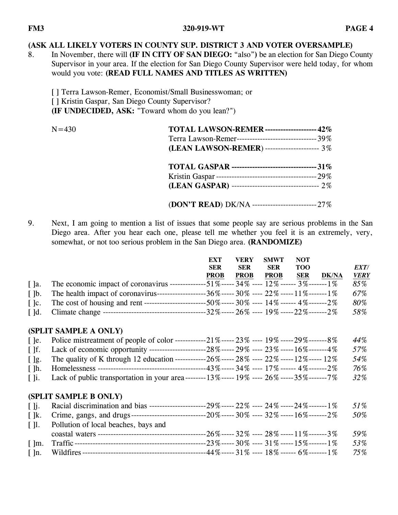# **(ASK ALL LIKELY VOTERS IN COUNTY SUP. DISTRICT 3 AND VOTER OVERSAMPLE)**

8. In November, there will **(IF IN CITY OF SAN DIEGO:** "also"**)** be an election for San Diego County Supervisor in your area. If the election for San Diego County Supervisor were held today, for whom would you vote: **(READ FULL NAMES AND TITLES AS WRITTEN)**

[ ] Terra Lawson-Remer, Economist/Small Businesswoman; or [ ] Kristin Gaspar, San Diego County Supervisor? **(IF UNDECIDED, ASK:** "Toward whom do you lean?")

| $N = 430$ | <b>TOTAL LAWSON-REMER ------------------- 42%</b>       |
|-----------|---------------------------------------------------------|
|           | Terra Lawson-Remer--------------------------------- 39% |
|           | (LEAN LAWSON-REMER) --------------------- 3%            |
|           |                                                         |
|           |                                                         |
|           |                                                         |
|           | (DON'T READ) DK/NA ---------------------------------27% |

9. Next, I am going to mention a list of issues that some people say are serious problems in the San Diego area. After you hear each one, please tell me whether you feel it is an extremely, very, somewhat, or not too serious problem in the San Diego area. **(RANDOMIZE)**

|                          |                                                                                                | EXT         | VERY        | <b>SMWT</b> | <b>NOT</b> |              |             |
|--------------------------|------------------------------------------------------------------------------------------------|-------------|-------------|-------------|------------|--------------|-------------|
|                          |                                                                                                | <b>SER</b>  | <b>SER</b>  | <b>SER</b>  | <b>TOO</b> |              | EXT/        |
|                          |                                                                                                | <b>PROB</b> | <b>PROB</b> | <b>PROB</b> | <b>SER</b> | <b>DK/NA</b> | <b>VERY</b> |
| $\lceil$ $\rceil$ a.     | The economic impact of coronavirus --------------51%------ 34% ----- 12% ------ 3%-------1%    |             |             |             |            |              | 85%         |
| $\lceil \,\rceil$ b.     | The health impact of coronavirus---------------------36%----- 30% ----- 22% -----11%--------1% |             |             |             |            |              | 67%         |
| $\lceil \cdot \rceil$ c. |                                                                                                |             |             |             |            |              | 80%         |
|                          |                                                                                                |             |             |             |            |              | 58%         |

## **(SPLIT SAMPLE A ONLY)**

|                            |                                                                                                      |  |  | 44% |
|----------------------------|------------------------------------------------------------------------------------------------------|--|--|-----|
| $\lceil \cdot \rceil$      | Lack of economic opportunity ---------------------------28% ----- 29% ----- 23% -----16% -------- 4% |  |  | 57% |
| $\vert \vert$  g.          | The quality of K through 12 education ------------26% ----- 28% ---- 22% -----12% ------ 12%         |  |  | 54% |
|                            |                                                                                                      |  |  | 76% |
| $\lfloor \cdot \rfloor$ i. | Lack of public transportation in your area --------13% ----- 19% ----- 26% ------35% --------------  |  |  | 32% |

## **(SPLIT SAMPLE B ONLY)**

| $\blacksquare$           |                                                                                             | 51% |
|--------------------------|---------------------------------------------------------------------------------------------|-----|
| $\lceil \cdot \rceil$ k. | $-20\%$ ----- 30% ---- 32% ----- 16%-------2%<br>Crime, gangs, and drugs-----------------   | 50% |
|                          | []. Pollution of local beaches, bays and                                                    |     |
|                          | --26%----- 32% ---- 28% ----- 11%-------3%<br>coastal waters ------------------------------ | 59% |
|                          | $-23\%$ ----- $30\%$ ---- $31\%$ ----- $15\%$ ------- $1\%$                                 | 53% |
| $\lceil \ln.$            | --44%----- 31% ---- 18%------ 6%-------1%                                                   | 75% |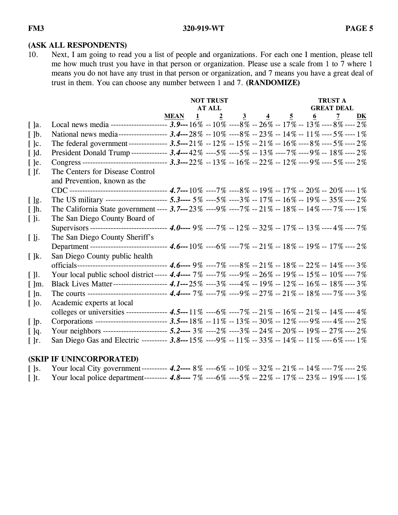#### **(ASK ALL RESPONDENTS)**

10. Next, I am going to read you a list of people and organizations. For each one I mention, please tell me how much trust you have in that person or organization. Please use a scale from 1 to 7 where 1 means you do not have any trust in that person or organization, and 7 means you have a great deal of trust in them. You can choose any number between 1 and 7. **(RANDOMIZE)**

|                          |                                                                                                          | <b>NOT TRUST</b> |  |                                |  |  |                                           | <b>TRUST A</b>    |                |    |  |
|--------------------------|----------------------------------------------------------------------------------------------------------|------------------|--|--------------------------------|--|--|-------------------------------------------|-------------------|----------------|----|--|
|                          |                                                                                                          |                  |  | <b>AT ALL</b>                  |  |  |                                           | <b>GREAT DEAL</b> |                |    |  |
|                          |                                                                                                          | <b>MEAN</b>      |  | $\overline{2}$<br>$\mathbf{1}$ |  |  | $\frac{3}{2}$ $\frac{4}{5}$ $\frac{5}{2}$ | $\underline{6}$   | $\overline{2}$ | DK |  |
| $[$ ]a.                  | Local news media -------------------- 3.9---16% --10% ----8% --26% --17% --13% ----8% ----2%             |                  |  |                                |  |  |                                           |                   |                |    |  |
| $\lceil \cdot \rceil$    | National news media----------------- 3.4---28% --10% ----8% --23% --14% --11% ----5% ----1%              |                  |  |                                |  |  |                                           |                   |                |    |  |
| $[$ ]c.                  | The federal government-------------- 3.5---21% --12% --15% --21% --16% ----8% ----5% ----2%              |                  |  |                                |  |  |                                           |                   |                |    |  |
| $[$ $]$ d.               | President Donald Trump------------- 3.4---42% ----5% ----5% -- 13% ----7% ----9% -- 18% ---- 2%          |                  |  |                                |  |  |                                           |                   |                |    |  |
| $[$ ]e.                  | Congress -------------------------------- 3.3---22% --13% --16% --22% --12% ----9% ----5% ----2%         |                  |  |                                |  |  |                                           |                   |                |    |  |
| $\lceil \cdot \rceil$ f. | The Centers for Disease Control                                                                          |                  |  |                                |  |  |                                           |                   |                |    |  |
|                          | and Prevention, known as the                                                                             |                  |  |                                |  |  |                                           |                   |                |    |  |
|                          |                                                                                                          |                  |  |                                |  |  |                                           |                   |                |    |  |
| $[$ $]$ g.               | The US military ---------------------- 5.3---- 5% ----5% ----3% -- 17% -- 16% -- 19% -- 35% ---- 2%      |                  |  |                                |  |  |                                           |                   |                |    |  |
| $[ ]h$ .                 | The California State government ---- 3.7---23% ----9% ----7% -- 21% -- 18% -- 14% ---- 7% ---- 1%        |                  |  |                                |  |  |                                           |                   |                |    |  |
| $\lceil \cdot \rceil$ i. | The San Diego County Board of                                                                            |                  |  |                                |  |  |                                           |                   |                |    |  |
|                          | Supervisors ---------------------------- 4.0---- 9% ----7% -- 12% -- 32% -- 17% -- 13% ---- 4% ---- 7%   |                  |  |                                |  |  |                                           |                   |                |    |  |
| $[$ $]$ j.               | The San Diego County Sheriff's                                                                           |                  |  |                                |  |  |                                           |                   |                |    |  |
|                          | Department ---------------------------- 4.6---10% ----6% ----7% -- 21% -- 18% -- 19% -- 17% ---- 2%      |                  |  |                                |  |  |                                           |                   |                |    |  |
| $\lceil \cdot \rceil$ k. | San Diego County public health                                                                           |                  |  |                                |  |  |                                           |                   |                |    |  |
|                          | officials---------------------------------- 4.6---- 9% ----7% ----8% -- 21% -- 18% -- 22% -- 14% ---- 3% |                  |  |                                |  |  |                                           |                   |                |    |  |
| $[1]$ .                  | Your local public school district----- 4.4---- 7% ---- 7% ---- 9% -- 26% -- 19% -- 15% -- 10% ---- 7%    |                  |  |                                |  |  |                                           |                   |                |    |  |
| $\lceil \ln$ .           | Black Lives Matter-------------------- 4.1---25% ----3% ----4% -- 19% -- 12% -- 16% -- 18% ---- 3%       |                  |  |                                |  |  |                                           |                   |                |    |  |
| $\lceil \cdot \rceil$ n. | The courts ----------------------------- 4.4---- 7% ----7% ----9% -- 27% -- 21% -- 18% ---- 7% ---- 3%   |                  |  |                                |  |  |                                           |                   |                |    |  |
| $[$ ]0.                  | Academic experts at local                                                                                |                  |  |                                |  |  |                                           |                   |                |    |  |
|                          | colleges or universities --------------- 4.5---11% ----6% ----7% -- 21% -- 16% -- 21% -- 14% ---- 4%     |                  |  |                                |  |  |                                           |                   |                |    |  |
| $[$ $]$ p.               | Corporations -------------------------- 3.5---18% --11% --13% --30% --12% ----9% ----4% ----2%           |                  |  |                                |  |  |                                           |                   |                |    |  |
| $[$ ]q.                  | Your neighbors ------------------------ 5.2--- 3% ----2% ----3% -- 24% -- 20% -- 19% -- 27% ---- 2%      |                  |  |                                |  |  |                                           |                   |                |    |  |
| [ ]r.                    | San Diego Gas and Electric --------- 3.8---15% ----9% --11% --33% --14% --11% ----6% ----1%              |                  |  |                                |  |  |                                           |                   |                |    |  |

# **(SKIP IF UNINCORPORATED)**

| [ ]s. Your local City government---------- 4.2---- 8% ----6% -- 10% -- 32% -- 21% -- 14% ---- 7% ---- 2%  |  |  |  |  |  |
|-----------------------------------------------------------------------------------------------------------|--|--|--|--|--|
| [ ]t. Your local police department-------- 4.8---- 7% ---- 6% ---- 5% -- 22% -- 17% -- 23% -- 19% ---- 1% |  |  |  |  |  |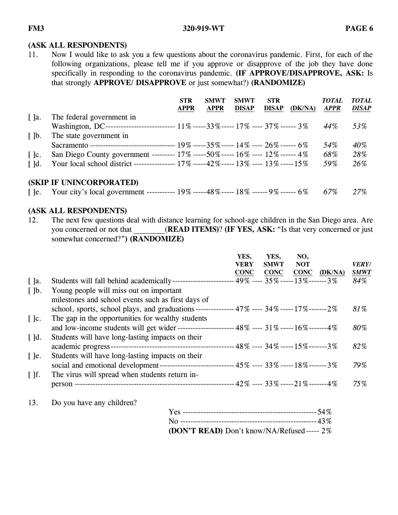### **(ASK ALL RESPONDENTS)**

11. Now I would like to ask you a few questions about the coronavirus pandemic. First, for each of the following organizations, please tell me if you approve or disapprove of the job they have done specifically in responding to the coronavirus pandemic. **(IF APPROVE/DISAPPROVE, ASK:** Is that strongly **APPROVE/ DISAPPROVE** or just somewhat?) **(RANDOMIZE)**

|                          |                                                                                                       | <b>STR</b><br><b>APPR</b> | <b>SMWT</b><br><b>APPR</b> | <b>SMWT</b><br><b>DISAP</b> | <b>STR</b><br><b>DISAP</b> | (DK/NA) | <i>TOTAL</i><br><b>APPR</b> | <b>TOTAL</b><br><b>DISAP</b> |
|--------------------------|-------------------------------------------------------------------------------------------------------|---------------------------|----------------------------|-----------------------------|----------------------------|---------|-----------------------------|------------------------------|
| $\lceil$ ]a.             | The federal government in                                                                             |                           |                            |                             |                            |         |                             |                              |
|                          | Washington, DC-------------------------- 11% ----- 33% ----- 17% ---- 37% ------ 3%                   |                           |                            |                             |                            |         | $44\%$                      | 53%                          |
| $\lceil \cdot \rceil$    | The state government in                                                                               |                           |                            |                             |                            |         |                             |                              |
|                          |                                                                                                       |                           |                            |                             |                            |         | 54%                         | 40%                          |
| $\lceil \cdot \rceil$ c. | San Diego County government --------- 17% -----50% ----- 16% ---- 12% ------ 4%                       |                           |                            |                             |                            |         | 68%                         | 28%                          |
| $\lceil$ $\lceil$ d.     | Your local school district --------------- 17% -----42% ----- 13% ---- 13% -----15%                   |                           |                            |                             |                            |         | 59%                         | 26%                          |
|                          | (SKIP IF UNINCORPORATED)                                                                              |                           |                            |                             |                            |         |                             |                              |
|                          | [ ]e. Your city's local government ----------- $19\%$ -----48% ----- $18\%$ ------ $9\%$ ------ $6\%$ |                           |                            |                             |                            |         | 67%                         | 27%                          |

# **(ASK ALL RESPONDENTS)**

12. The next few questions deal with distance learning for school-age children in the San Diego area. Are you concerned or not that **(READ ITEMS)**? **(IF YES, ASK:** "Is that very concerned or just somewhat concerned?"**) (RANDOMIZE)**

|                          |                                                                                                  | YES,<br>VERY | YES.<br><b>SMWT</b>                 | NO,<br><b>NOT</b> |         | <i><b>VERY/</b></i> |
|--------------------------|--------------------------------------------------------------------------------------------------|--------------|-------------------------------------|-------------------|---------|---------------------|
|                          |                                                                                                  | <b>CONC</b>  | <b>CONC</b>                         | <b>CONC</b>       | (DK/NA) | <b>SMWT</b>         |
| $[$ ]a.                  |                                                                                                  |              | $-49\%$ ---- 35% ----- 13%-------3% |                   |         | 84%                 |
| $\lceil \cdot \rceil$    | Young people will miss out on important                                                          |              |                                     |                   |         |                     |
|                          | milestones and school events such as first days of                                               |              |                                     |                   |         |                     |
|                          | school, sports, school plays, and graduations -------------- 47% ---- 34% ----- 17% ------- 2%   |              |                                     |                   |         | 81%                 |
| $\lceil \cdot \rceil$ c. | The gap in the opportunities for wealthy students                                                |              |                                     |                   |         |                     |
|                          | and low-income students will get wider ---------------------- 48% ---- 31% ----- 16% ------- 4%  |              |                                     |                   |         | 80%                 |
| $\lceil$ d.              | Students will have long-lasting impacts on their                                                 |              |                                     |                   |         |                     |
|                          |                                                                                                  |              |                                     |                   |         | 82%                 |
| $\lceil$ le.             | Students will have long-lasting impacts on their                                                 |              |                                     |                   |         |                     |
|                          | social and emotional development------------------------------ 45% ---- 33% ----- 18% ------- 3% |              |                                     |                   |         | 79%                 |
| $\lceil \cdot \rceil$ f. | The virus will spread when students return in-                                                   |              |                                     |                   |         |                     |
|                          | person -                                                                                         |              | - 42% ---- 33% ----- 21%-------4%   |                   |         | 75%                 |
|                          |                                                                                                  |              |                                     |                   |         |                     |

13. Do you have any children?

| (DON'T READ) Don't know/NA/Refused ----- 2% |  |
|---------------------------------------------|--|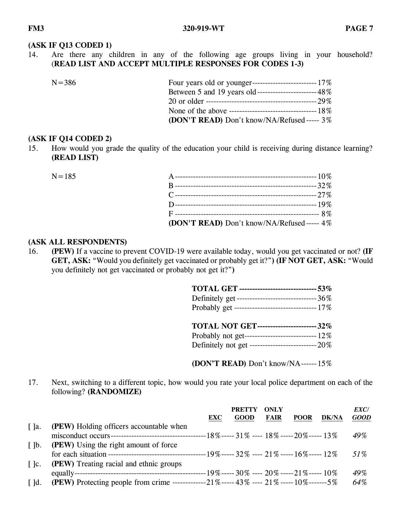#### **(ASK IF Q13 CODED 1)**

14. Are there any children in any of the following age groups living in your household? (**READ LIST AND ACCEPT MULTIPLE RESPONSES FOR CODES 1-3)**

| $N = 386$ |                                                          |
|-----------|----------------------------------------------------------|
|           | Between 5 and 19 years old ------------------------- 48% |
|           |                                                          |
|           |                                                          |
|           | <b>(DON'T READ)</b> Don't know/NA/Refused ----- $3\%$    |

#### **(ASK IF Q14 CODED 2)**

15. How would you grade the quality of the education your child is receiving during distance learning? **(READ LIST)**

| $N = 185$ |                                             |  |
|-----------|---------------------------------------------|--|
|           |                                             |  |
|           |                                             |  |
|           |                                             |  |
|           |                                             |  |
|           | (DON'T READ) Don't know/NA/Refused ----- 4% |  |

#### **(ASK ALL RESPONDENTS)**

16. **(PEW)** If a vaccine to prevent COVID-19 were available today, would you get vaccinated or not? **(IF GET, ASK:** "Would you definitely get vaccinated or probably get it?"**) (IF NOT GET, ASK:** "Would you definitely not get vaccinated or probably not get it?"**)**

| <b>TOTAL GET ------------------------------- 53%</b> |  |
|------------------------------------------------------|--|
| Definitely get ----------------------------------36% |  |
| Probably get --------------------------------- 17%   |  |
|                                                      |  |
|                                                      |  |
| <b>TOTAL NOT GET----------------------- 32%</b>      |  |
|                                                      |  |

**(DON'T READ)** Don't know/NA------ 15%

17. Next, switching to a different topic, how would you rate your local police department on each of the following? **(RANDOMIZE)**

|                          |                                                                                         |            | <b>PRETTY</b> | <b>ONLY</b> |             |              | <i>EXC/</i> |
|--------------------------|-----------------------------------------------------------------------------------------|------------|---------------|-------------|-------------|--------------|-------------|
|                          |                                                                                         | <b>EXC</b> | <b>GOOD</b>   | <b>FAIR</b> | <b>POOR</b> | <b>DK/NA</b> | <b>GOOD</b> |
| $\lceil$ $\rceil$ a.     | <b>(PEW)</b> Holding officers accountable when                                          |            |               |             |             |              |             |
|                          |                                                                                         |            |               |             |             |              | 49%         |
| $\lceil \cdot \rceil$ b. | <b>(PEW)</b> Using the right amount of force                                            |            |               |             |             |              |             |
|                          |                                                                                         |            |               |             |             |              | 51\%        |
| $\lceil \cdot \rceil$ c. | <b>(PEW)</b> Treating racial and ethnic groups                                          |            |               |             |             |              |             |
|                          |                                                                                         |            |               |             |             |              | 49%         |
| $\lceil$ d.              | (PEW) Protecting people from crime -------------21%----- 43% ---- 21% -----10%-------5% |            |               |             |             |              | 64%         |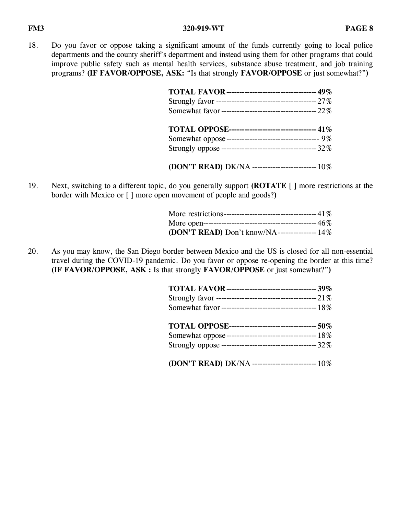18. Do you favor or oppose taking a significant amount of the funds currently going to local police departments and the county sheriff's department and instead using them for other programs that could improve public safety such as mental health services, substance abuse treatment, and job training programs? **(IF FAVOR/OPPOSE, ASK:** "Is that strongly **FAVOR/OPPOSE** or just somewhat?"**)**

| TOTAL FAVOR ----------------------------------- 49%      |  |
|----------------------------------------------------------|--|
|                                                          |  |
|                                                          |  |
| <b>TOTAL OPPOSE--------------------------------- 41%</b> |  |
|                                                          |  |
|                                                          |  |
| (DON'T READ) DK/NA ------------------------- 10%         |  |

19. Next, switching to a different topic, do you generally support **(ROTATE** [ ] more restrictions at the border with Mexico or [ ] more open movement of people and goods?**)**

| (DON'T READ) Don't know/NA---------------- 14% |  |
|------------------------------------------------|--|

20. As you may know, the San Diego border between Mexico and the US is closed for all non-essential travel during the COVID-19 pandemic. Do you favor or oppose re-opening the border at this time? **(IF FAVOR/OPPOSE, ASK :** Is that strongly **FAVOR/OPPOSE** or just somewhat?"**)**

| (DON'T READ) DK/NA -------------------------- 10% |  |
|---------------------------------------------------|--|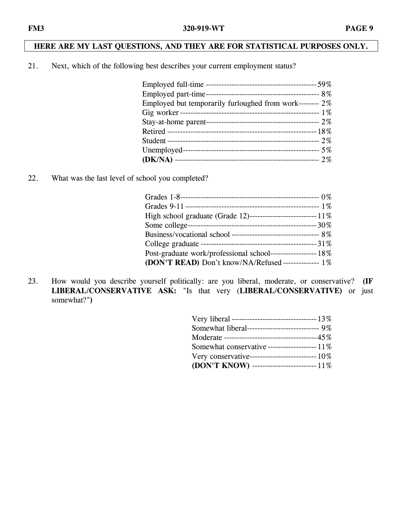# **HERE ARE MY LAST QUESTIONS, AND THEY ARE FOR STATISTICAL PURPOSES ONLY.**

21. Next, which of the following best describes your current employment status?

| Employed but temporarily furloughed from work--------- $2\%$ |  |
|--------------------------------------------------------------|--|
|                                                              |  |
|                                                              |  |
|                                                              |  |
|                                                              |  |
|                                                              |  |
|                                                              |  |

22. What was the last level of school you completed?

| Post-graduate work/professional school------------------ 18% |  |
|--------------------------------------------------------------|--|
| (DON'T READ) Don't know/NA/Refused -------------- 1%         |  |

23. How would you describe yourself politically: are you liberal, moderate, or conservative? **(IF LIBERAL/CONSERVATIVE ASK:** "Is that very (**LIBERAL/CONSERVATIVE)** or just somewhat?"**)**

| Somewhat liberal---------------------------- 9%  |
|--------------------------------------------------|
|                                                  |
| Somewhat conservative -------------------- 11%   |
| Very conservative--------------------------- 10% |
| (DON'T KNOW) -------------------------- 11%      |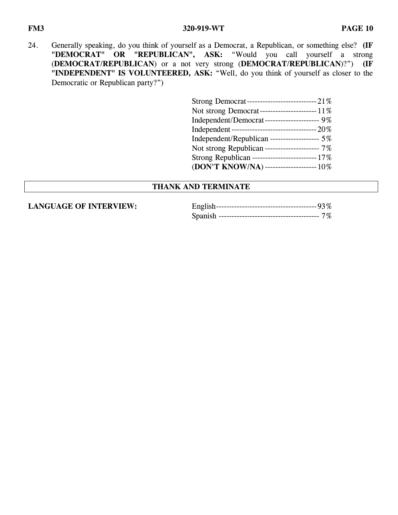24. Generally speaking, do you think of yourself as a Democrat, a Republican, or something else? **(IF**  "DEMOCRAT" OR "REPUBLICAN", ASK: "Would you call yourself a strong (**DEMOCRAT/REPUBLICAN**) or a not very strong (**DEMOCRAT/REPUBLICAN**)?") **(IF "INDEPENDENT" IS VOLUNTEERED, ASK:** "Well, do you think of yourself as closer to the Democratic or Republican party?")

| Independent/Democrat-------------------- 9%    |
|------------------------------------------------|
|                                                |
| Independent/Republican ------------------ 5%   |
| Not strong Republican --------------------- 7% |
|                                                |
| (DON'T KNOW/NA) -------------------- 10%       |

### **THANK AND TERMINATE**

**LANGUAGE OF INTERVIEW:**